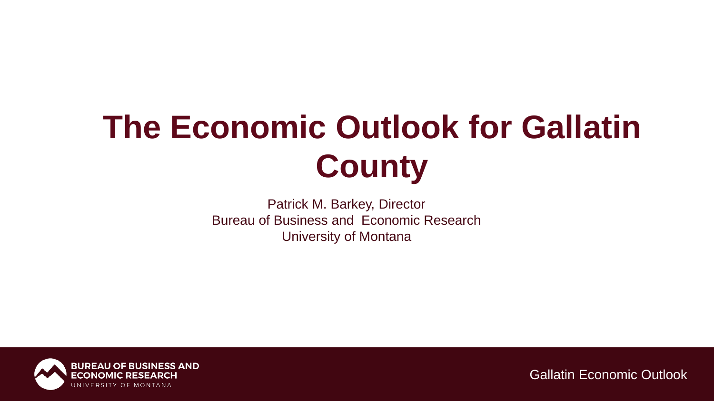# **The Economic Outlook for Gallatin County**

Patrick M. Barkey, Director Bureau of Business and Economic Research University of Montana

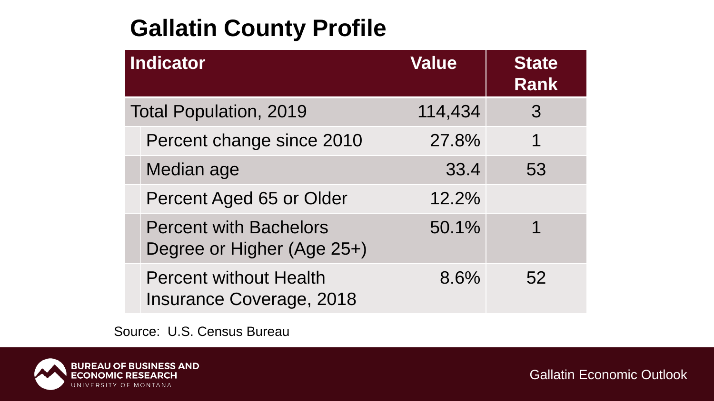### **Gallatin County Profile**

| Indicator                     |                                                                  | <b>Value</b> | <b>State</b><br><b>Rank</b> |
|-------------------------------|------------------------------------------------------------------|--------------|-----------------------------|
| <b>Total Population, 2019</b> |                                                                  | 114,434      | 3                           |
|                               | Percent change since 2010                                        | 27.8%        | 1                           |
|                               | Median age                                                       | 33.4         | 53                          |
|                               | Percent Aged 65 or Older                                         | 12.2%        |                             |
|                               | <b>Percent with Bachelors</b><br>Degree or Higher (Age 25+)      | 50.1%        |                             |
|                               | <b>Percent without Health</b><br><b>Insurance Coverage, 2018</b> | 8.6%         | 52                          |

Source: U.S. Census Bureau

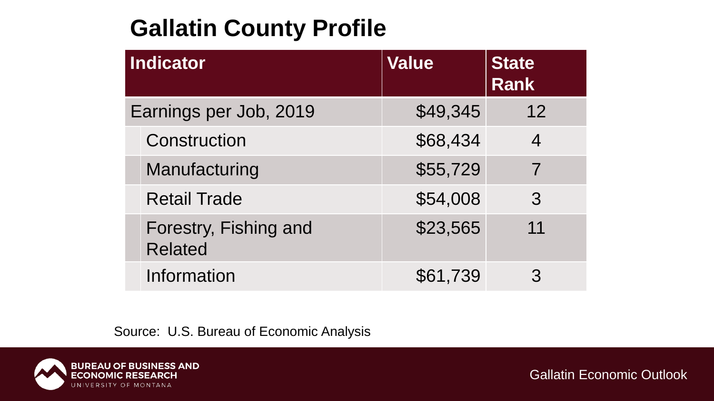### **Gallatin County Profile**

| Indicator              |                                         | <b>Value</b> | <b>State</b><br><b>Rank</b> |
|------------------------|-----------------------------------------|--------------|-----------------------------|
| Earnings per Job, 2019 |                                         | \$49,345     | 12                          |
|                        | Construction                            | \$68,434     | $\overline{4}$              |
|                        | Manufacturing                           | \$55,729     | 7                           |
|                        | <b>Retail Trade</b>                     | \$54,008     | 3                           |
|                        | Forestry, Fishing and<br><b>Related</b> | \$23,565     | 11                          |
|                        | <b>Information</b>                      | \$61,739     |                             |

Source: U.S. Bureau of Economic Analysis

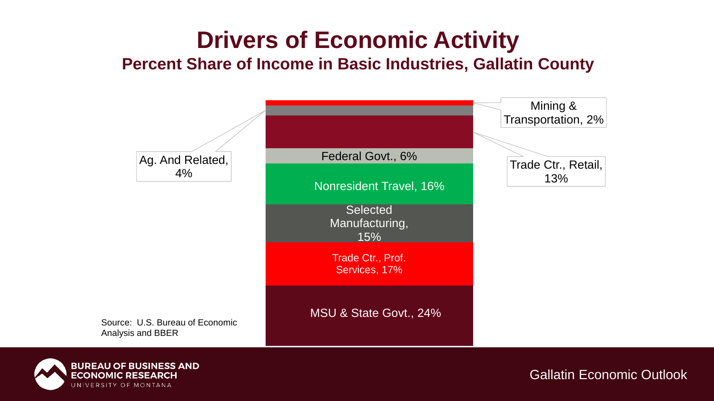## **Drivers of Economic Activity**

#### **Percent Share of Income in Basic Industries, Gallatin County**



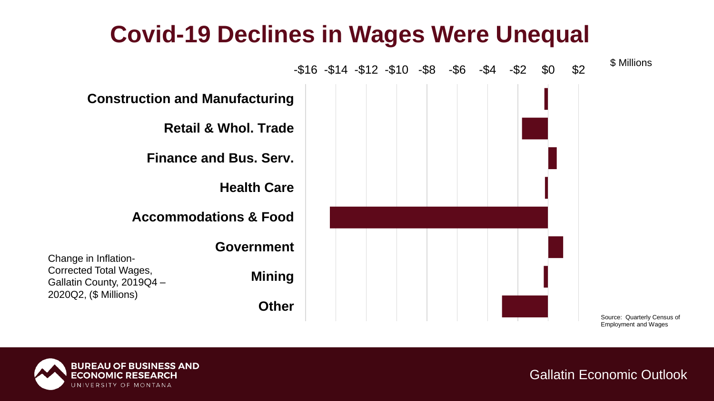### **Covid-19 Declines in Wages Were Unequal**



Source: Quarterly Census of Employment and Wages

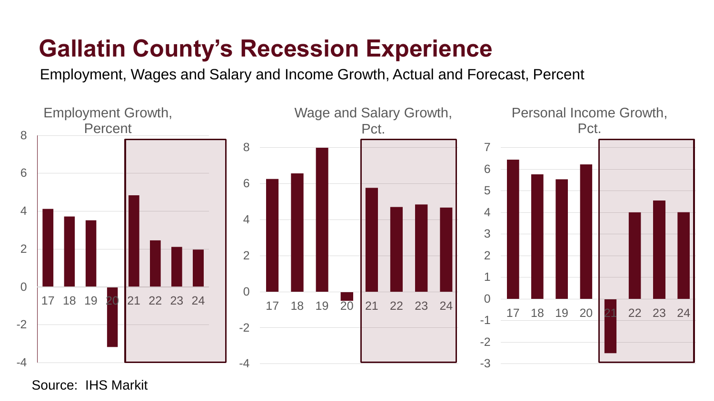### **Gallatin County's Recession Experience**

Employment, Wages and Salary and Income Growth, Actual and Forecast, Percent



Source: IHS Markit